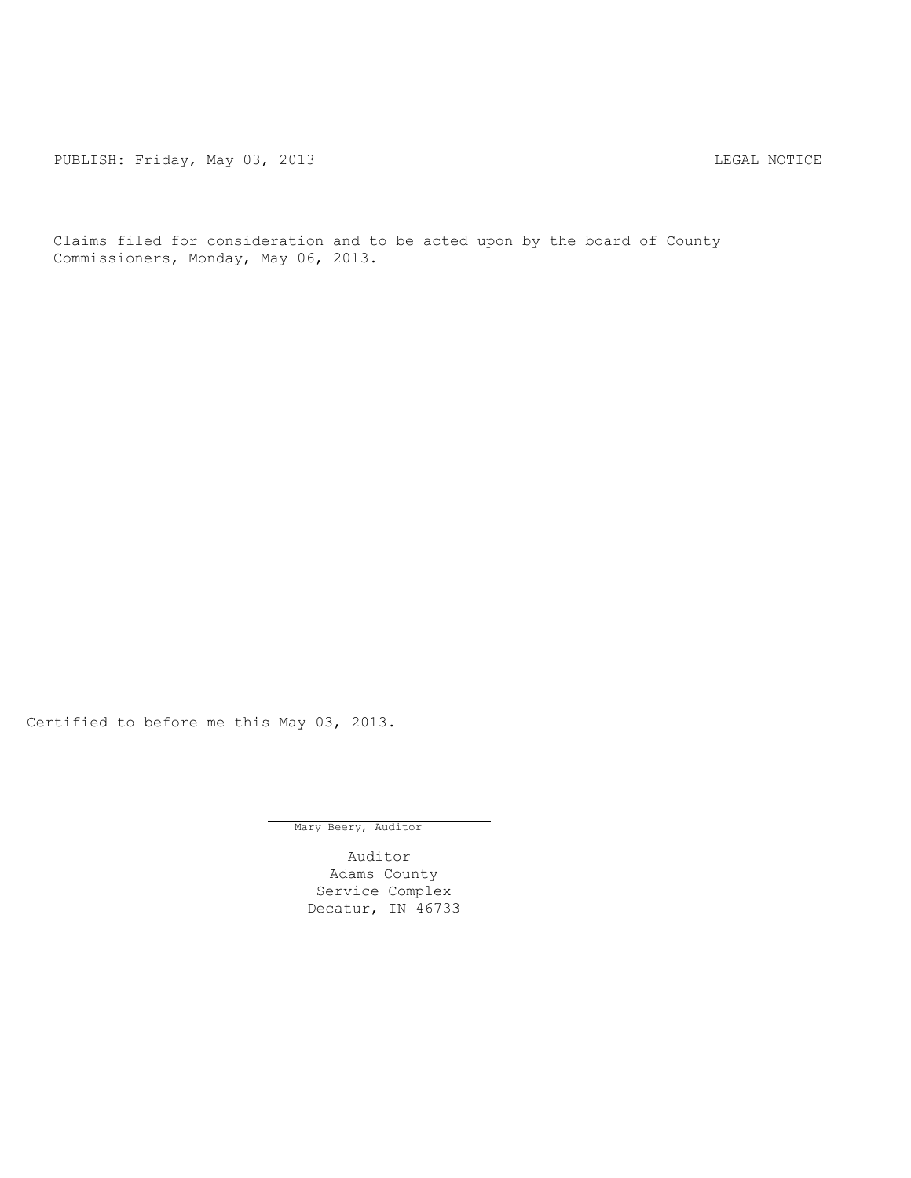PUBLISH: Friday, May 03, 2013 2013 2014 12:30 2014 12:30 2016

Claims filed for consideration and to be acted upon by the board of County Commissioners, Monday, May 06, 2013.

Certified to before me this May 03, 2013.

Mary Beery, Auditor

Auditor Adams County Service Complex Decatur, IN 46733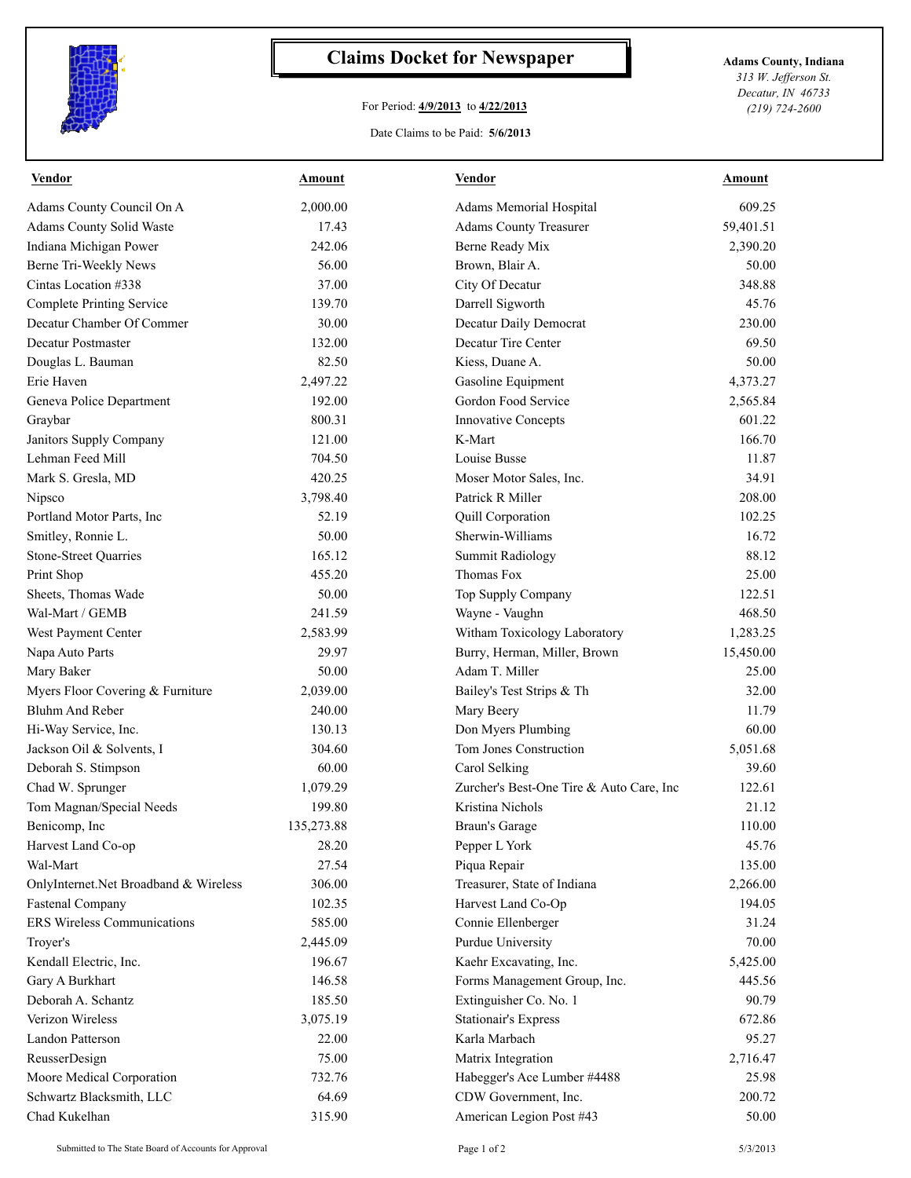

## **Claims Docket for Newspaper Adams County, Indiana**

## For Period: **4/9/2013** to **4/22/2013**

*313 W. Jefferson St. Decatur, IN 46733 (219) 724-2600*

## Date Claims to be Paid: **5/6/2013**

| <b>Vendor</b>                         | <b>Amount</b> | <b>Vendor</b>                            | <b>Amount</b> |
|---------------------------------------|---------------|------------------------------------------|---------------|
| Adams County Council On A             | 2,000.00      | Adams Memorial Hospital                  | 609.25        |
| Adams County Solid Waste              | 17.43         | <b>Adams County Treasurer</b>            | 59,401.51     |
| Indiana Michigan Power                | 242.06        | Berne Ready Mix                          | 2,390.20      |
| Berne Tri-Weekly News                 | 56.00         | Brown, Blair A.                          | 50.00         |
| Cintas Location #338                  | 37.00         | City Of Decatur                          | 348.88        |
| Complete Printing Service             | 139.70        | Darrell Sigworth                         | 45.76         |
| Decatur Chamber Of Commer             | 30.00         | Decatur Daily Democrat                   | 230.00        |
| Decatur Postmaster                    | 132.00        | Decatur Tire Center                      | 69.50         |
| Douglas L. Bauman                     | 82.50         | Kiess, Duane A.                          | 50.00         |
| Erie Haven                            | 2,497.22      | Gasoline Equipment                       | 4,373.27      |
| Geneva Police Department              | 192.00        | Gordon Food Service                      | 2,565.84      |
| Graybar                               | 800.31        | Innovative Concepts                      | 601.22        |
| Janitors Supply Company               | 121.00        | K-Mart                                   | 166.70        |
| Lehman Feed Mill                      | 704.50        | Louise Busse                             | 11.87         |
| Mark S. Gresla, MD                    | 420.25        | Moser Motor Sales, Inc.                  | 34.91         |
| Nipsco                                | 3,798.40      | Patrick R Miller                         | 208.00        |
| Portland Motor Parts, Inc             | 52.19         | Quill Corporation                        | 102.25        |
| Smitley, Ronnie L.                    | 50.00         | Sherwin-Williams                         | 16.72         |
| <b>Stone-Street Quarries</b>          | 165.12        | <b>Summit Radiology</b>                  | 88.12         |
| Print Shop                            | 455.20        | Thomas Fox                               | 25.00         |
| Sheets, Thomas Wade                   | 50.00         | Top Supply Company                       | 122.51        |
| Wal-Mart / GEMB                       | 241.59        | Wayne - Vaughn                           | 468.50        |
| West Payment Center                   | 2,583.99      | Witham Toxicology Laboratory             | 1,283.25      |
| Napa Auto Parts                       | 29.97         | Burry, Herman, Miller, Brown             | 15,450.00     |
| Mary Baker                            | 50.00         | Adam T. Miller                           | 25.00         |
| Myers Floor Covering & Furniture      | 2,039.00      | Bailey's Test Strips & Th                | 32.00         |
| Bluhm And Reber                       | 240.00        | Mary Beery                               | 11.79         |
| Hi-Way Service, Inc.                  | 130.13        | Don Myers Plumbing                       | 60.00         |
| Jackson Oil & Solvents, I             | 304.60        | Tom Jones Construction                   | 5,051.68      |
| Deborah S. Stimpson                   | 60.00         | Carol Selking                            | 39.60         |
| Chad W. Sprunger                      | 1,079.29      | Zurcher's Best-One Tire & Auto Care, Inc | 122.61        |
| Tom Magnan/Special Needs              | 199.80        | Kristina Nichols                         | 21.12         |
| Benicomp, Inc                         | 135,273.88    | Braun's Garage                           | 110.00        |
| Harvest Land Co-op                    | 28.20         | Pepper L York                            | 45.76         |
| Wal-Mart                              | 27.54         | Piqua Repair                             | 135.00        |
| OnlyInternet.Net Broadband & Wireless | 306.00        | Treasurer, State of Indiana              | 2,266.00      |
| <b>Fastenal Company</b>               | 102.35        | Harvest Land Co-Op                       | 194.05        |
| ERS Wireless Communications           | 585.00        | Connie Ellenberger                       | 31.24         |
| Troyer's                              | 2,445.09      | Purdue University                        | 70.00         |
| Kendall Electric, Inc.                | 196.67        | Kaehr Excavating, Inc.                   | 5,425.00      |
| Gary A Burkhart                       | 146.58        | Forms Management Group, Inc.             | 445.56        |
| Deborah A. Schantz                    | 185.50        | Extinguisher Co. No. 1                   | 90.79         |
| Verizon Wireless                      | 3,075.19      | <b>Stationair's Express</b>              | 672.86        |
| Landon Patterson                      | 22.00         | Karla Marbach                            | 95.27         |
| ReusserDesign                         | 75.00         | Matrix Integration                       | 2,716.47      |
| Moore Medical Corporation             | 732.76        | Habegger's Ace Lumber #4488              | 25.98         |
| Schwartz Blacksmith, LLC              | 64.69         | CDW Government, Inc.                     | 200.72        |
| Chad Kukelhan                         | 315.90        | American Legion Post #43                 | 50.00         |
|                                       |               |                                          |               |